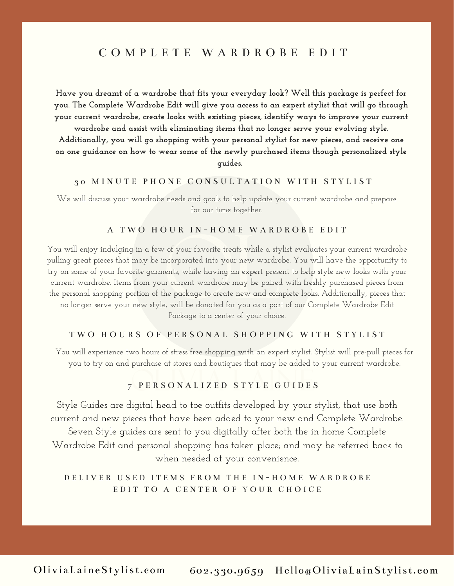# C O M P L E T E W A R D R O B E E D I T

**Have you dreamt of a wardrobe that fits your everyday look? Well this package is perfect for you. The Complete Wardrobe Edit will give you access to an expert stylist that will go through your current wardrobe, create looks with existing pieces, identify ways to improve your current**

**wardrobe and assist with eliminating items that no longer serve your evolving style. Additionally, you will go shopping with your personal stylist for new pieces, and receive one on one guidance on how to wear some of the newly purchased items though personalized style guides.**

#### 3 0 M I N U T E P H O N E C O N S U L T A T I O N W I T H S T Y L I S T

We will discuss your wardrobe needs and goals to help update your current wardrobe and prepare for our time together.

#### A T W O H O U R I N - H O M E W A R D R O B E E D I T

You will enjoy indulging in a few of your favorite treats while a stylist evaluates your current wardrobe pulling great pieces that may be incorporated into your new wardrobe. You will have the opportunity to try on some of your favorite garments, while having an expert present to help style new looks with your current wardrobe. Items from your current wardrobe may be paired with freshly purchased pieces from the personal shopping portion of the package to create new and complete looks. Additionally, pieces that no longer serve your new style, will be donated for you as a part of our Complete Wardrobe Edit Package to a center of your choice.

#### TWO HOURS OF PERSONAL SHOPPING WITH STYLIST

You will experience two hours of stress free shopping with an expert stylist. Stylist will pre-pull pieces for you to try on and purchase at stores and boutiques that may be added to your current wardrobe.

#### 7 P E R S O N A L I Z E D S T Y L E G U I D E S

Style Guides are digital head to toe outfits developed by your stylist, that use both current and new pieces that have been added to your new and Complete Wardrobe. Seven Style guides are sent to you digitally after both the in home Complete Wardrobe Edit and personal shopping has taken place; and may be referred back to when needed at your convenience.

### D E L I V E R U S E D I T E M S F R O M T H E I N - H O M E W A R D R O B E EDIT TO A CENTER OF YOUR CHOICE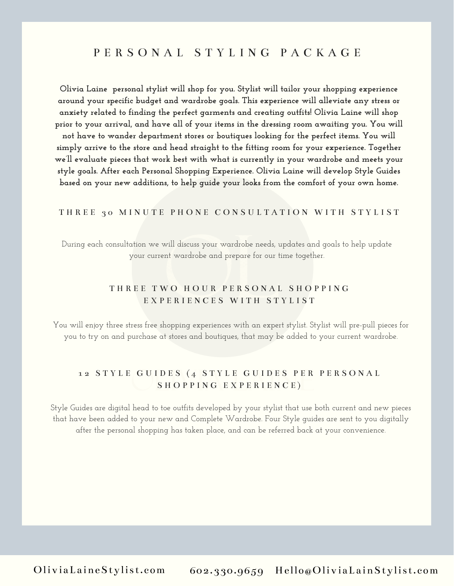# P E R S O N A L S T Y L I N G P A C K A G E

**Olivia Laine personal stylist will shop for you. Stylist will tailor your shopping experience around your specific budget and wardrobe goals. This experience will alleviate any stress or anxiety related to finding the perfect garments and creating outfits! Olivia Laine will shop prior to your arrival, and have all of your items in the dressing room awaiting you. You will not have to wander department stores or boutiques looking for the perfect items. You will simply arrive to the store and head straight to the fitting room for your experience. Together we'll evaluate pieces that work best with what is currently in your wardrobe and meets your style goals. After each Personal Shopping Experience. Olivia Laine will develop Style Guides based on your new additions, to help guide your looks from the comfort of your own home.**

#### THREE 30 MINUTE PHONE CONSULTATION WITH STYLIST

During each consultation we will discuss your wardrobe needs, updates and goals to help update your current wardrobe and prepare for our time together.

### THREE TWO HOUR PERSONAL SHOPPING E X P E R I E N C E S W I T H S T Y L I S T

You will enjoy three stress free shopping experiences with an expert stylist. Stylist will pre-pull pieces for you to try on and purchase at stores and boutiques, that may be added to your current wardrobe.

### 12 STYLE GUIDES (4 STYLE GUIDES PER PERSONAL SHOPPING EXPERIENCE)

Style Guides are digital head to toe outfits developed by your stylist that use both current and new pieces that have been added to your new and Complete Wardrobe. Four Style guides are sent to you digitally after the personal shopping has taken place, and can be referred back at your convenience.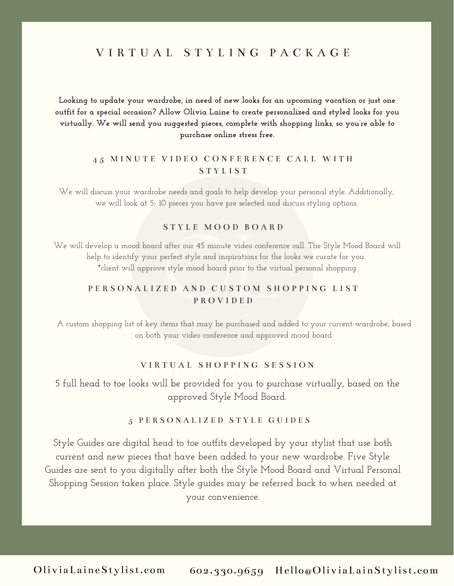# V I R T U A L S T Y L I N G P A C K A G E

### **Looking to update your wardrobe, in need of new looks for an upcoming vacation or just one outfit for a special occasion? Allow Olivia Laine to create personalized and styled looks for you virtually. We will send you suggested pieces, complete with shopping links, so you're able to purchase online stress free.**

### 45 MINUTE VIDEO CONFERENCE CALL WITH S T Y L I S T

We will discuss your wardrobe needs and goals to help develop your personal style. Additionally, we will look at 5- 10 pieces you have pre selected and discuss styling options.

### S T Y L E M O O D B O A R D

We will develop a mood board after our 45 minute video conference call. The Style Mood Board will help to identify your perfect style and inspirations for the looks we curate for you. \*client will approve style mood board prior to the virtual personal shopping

### P E R S O N A L I Z E D A N D C U S T O M S H O P P I N G L I S T P R O V I D E D

A custom shopping list of key items that may be purchased and added to your current wardrobe, based on both your video conference and approved mood board.

### V I R T U A L S H O P P I N G S E S S I O N

5 full head to toe looks will be provided for you to purchase virtually, based on the approved Style Mood Board.

#### 5 P E R S O N A L I Z E D S T Y L E G U I D E S

Style Guides are digital head to toe outfits developed by your stylist that use both current and new pieces that have been added to your new wardrobe. Five Style Guides are sent to you digitally after both the Style Mood Board and Virtual Personal Shopping Session taken place. Style guides may be referred back to when needed at your convenience.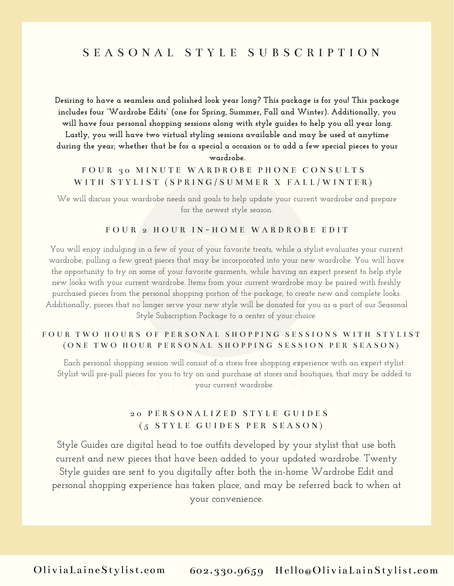# S E A S O N A L S T Y L E S U B S C R I P T I O N

**Desiring to have a seamless and polished look year long? This package is for you! This package includes four "Wardrobe Edits" (one for Spring, Summer, Fall and Winter). Additionally, you will have four personal shopping sessions along with style guides to help you all year long. Lastly, you will have two virtual styling sessions available and may be used at anytime** during the year; whether that be for a special a occasion or to add a few special pieces to your **wardrobe.**

### FOUR 30 MINUTE WARDROBE PHONE CONSULTS WITH STYLIST (SPRING/SUMMER X FALL/WINTER)

We will discuss your wardrobe needs and goals to help update your current wardrobe and prepare for the newest style season.

#### FOUR<sup>2</sup> HOUR IN-HOME WARDROBE EDIT

You will enjoy indulging in a few of your of your favorite treats, while a stylist evaluates your current wardrobe, pulling a few great pieces that may be incorporated into your new wardrobe. You will have the opportunity to try on some of your favorite garments, while having an expert present to help style new looks with your current wardrobe. Items from your current wardrobe may be paired with freshly purchased pieces from the personal shopping portion of the package, to create new and complete looks. Additionally, pieces that no longer serve your new style will be donated for you as a part of our Seasonal Style Subscription Package to a center of your choice.

### FOUR TWO HOURS OF PERSONAL SHOPPING SESSIONS WITH STYLIST ( ONE TWO HOUR PERSONAL SHOPPING SESSION PER SEASON)

Each personal shopping session will consist of a stress free shopping experience with an expert stylist. Stylist will pre-pull pieces for you to try on and purchase at stores and boutiques, that may be added to your current wardrobe.

### 2 0 P E R S O N A L I Z E D S T Y L E G U I D E S  $(5 STYLE GUIDES PER SEASON)$

Style Guides are digital head to toe outfits developed by your stylist that use both current and new pieces that have been added to your updated wardrobe. Twenty Style guides are sent to you digitally after both the in-home Wardrobe Edit and personal shopping experience has taken place, and may be referred back to when at your convenience.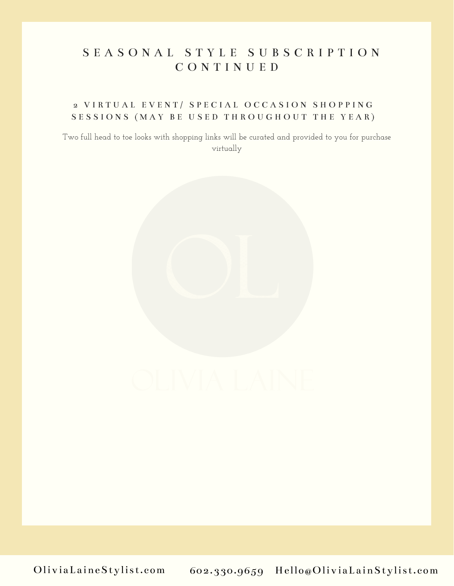# S E A S O N A L S T Y L E S U B S C R I P T I O N C O N T I N U E D

### 2 VIRTUAL EVENT/ SPECIAL OCCASION SHOPPING SESSIONS (MAY BE USED THROUGHOUT THE YEAR)

Two full head to toe looks with shopping links will be curated and provided to you for purchase virtually

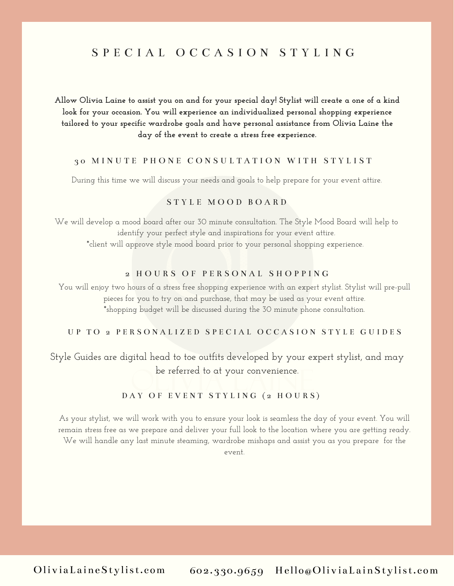# S P E C I A L O C C A S I O N S T Y L I N G

### Allow Olivia Laine to assist you on and for your special day! Stylist will create a one of a kind **look for your occasion. You will experience an individualized personal shopping experience tailored to your specific wardrobe goals and have personal assistance from Olivia Laine the day of the event to create a stress free experience.**

### 3 0 M I N U T E P H O N E C O N S U L T A T I O N W I T H S T Y L I S T

During this time we will discuss your needs and goals to help prepare for your event attire.

### S T Y L E M O O D B O A R D

We will develop a mood board after our 30 minute consultation. The Style Mood Board will help to identify your perfect style and inspirations for your event attire. \*client will approve style mood board prior to your personal shopping experience.

#### 2 HOURS OF PERSONAL SHOPPING

You will enjoy two hours of a stress free shopping experience with an expert stylist. Stylist will pre-pull pieces for you to try on and purchase, that may be used as your event attire. \*shopping budget will be discussed during the 30 minute phone consultation.

#### UP TO 2 PERSONALIZED SPECIAL OCCASION STYLE GUIDES

### Style Guides are digital head to toe outfits developed by your expert stylist, and may be referred to at your convenience.

#### DAY OF EVENT STYLING (2 HOURS)

As your stylist, we will work with you to ensure your look is seamless the day of your event. You will remain stress free as we prepare and deliver your full look to the location where you are getting ready. We will handle any last minute steaming, wardrobe mishaps and assist you as you prepare for the event.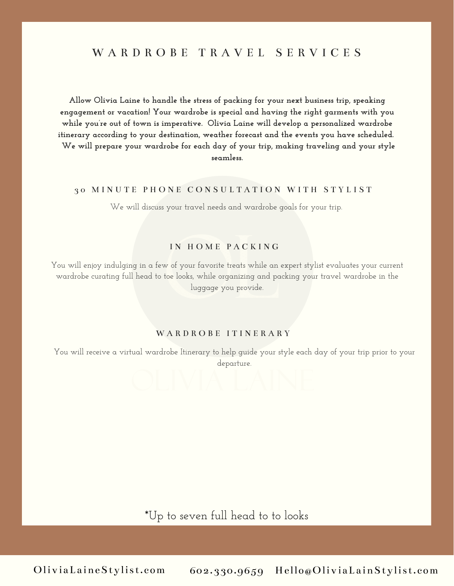### W A R D R O B E T R A V E L S E R V I C E S

**Allow Olivia Laine to handle the stress of packing for your next business trip, speaking engagement or vacation! Your wardrobe is special and having the right garments with you while you're out of town is imperative. Olivia Laine will develop a personalized wardrobe itinerary according to your destination, weather forecast and the events you have scheduled. We will prepare your wardrobe for each day of your trip, making traveling and your style seamless.**

#### 30 MINUTE PHONE CONSULTATION WITH STYLIST

We will discuss your travel needs and wardrobe goals for your trip.

### IN HOME PACKING

You will enjoy indulging in a few of your favorite treats while an expert stylist evaluates your current wardrobe curating full head to toe looks, while organizing and packing your travel wardrobe in the luggage you provide.

#### WARDROBE ITINERARY

You will receive a virtual wardrobe Itinerary to help guide your style each day of your trip prior to your departure.

\*Up to seven full head to to looks